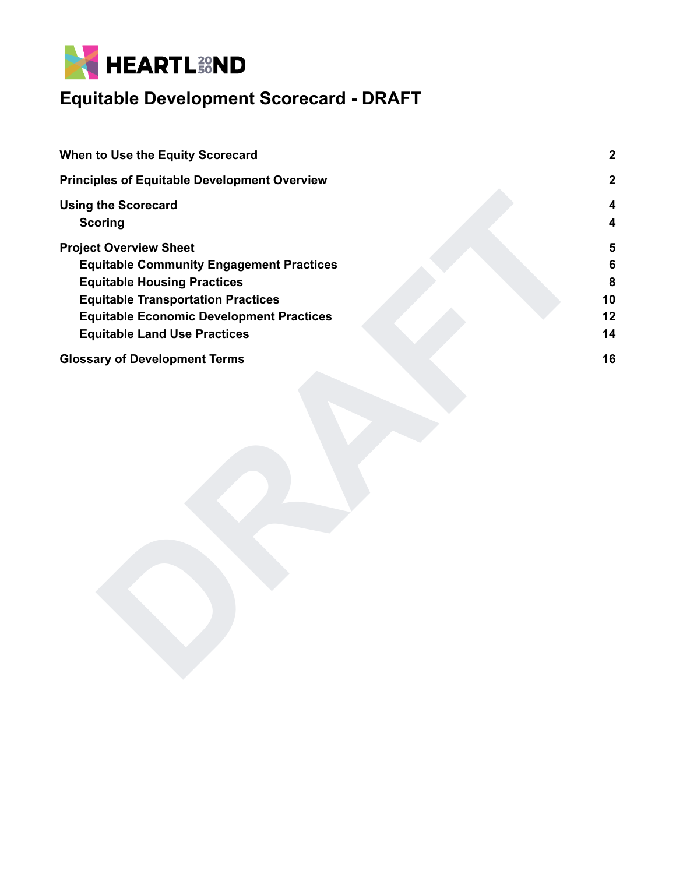

| When to Use the Equity Scorecard                                                                                                                                                                                                                              | $\boldsymbol{2}$              |
|---------------------------------------------------------------------------------------------------------------------------------------------------------------------------------------------------------------------------------------------------------------|-------------------------------|
| <b>Principles of Equitable Development Overview</b>                                                                                                                                                                                                           | $\overline{2}$                |
| <b>Using the Scorecard</b><br><b>Scoring</b>                                                                                                                                                                                                                  | 4<br>4                        |
| <b>Project Overview Sheet</b><br><b>Equitable Community Engagement Practices</b><br><b>Equitable Housing Practices</b><br><b>Equitable Transportation Practices</b><br><b>Equitable Economic Development Practices</b><br><b>Equitable Land Use Practices</b> | 5<br>6<br>8<br>10<br>12<br>14 |
| <b>Glossary of Development Terms</b>                                                                                                                                                                                                                          | 16                            |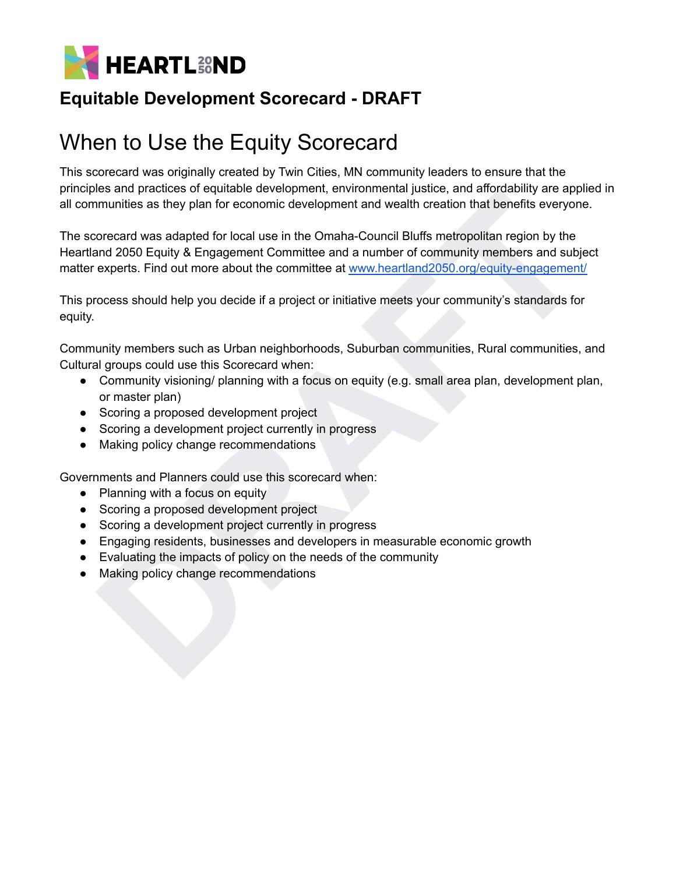

# <span id="page-1-0"></span>When to Use the Equity Scorecard

This scorecard was originally created by Twin Cities, MN community leaders to ensure that the principles and practices of equitable development, environmental justice, and affordability are applied in all communities as they plan for economic development and wealth creation that benefits everyone.

thes and publiculate of the continue the publicular multiplane, and and any anomatomy are applicated for the content development and wealth creation that benefits everyone.<br>
Forecard was adapted for local use in the Omaha-The scorecard was adapted for local use in the Omaha-Council Bluffs metropolitan region by the Heartland 2050 Equity & Engagement Committee and a number of community members and subject matter experts. Find out more about the committee at www.heartland2050.org/equity-engagement/

This process should help you decide if a project or initiative meets your community's standards for equity.

Community members such as Urban neighborhoods, Suburban communities, Rural communities, and Cultural groups could use this Scorecard when:

- Community visioning/ planning with a focus on equity (e.g. small area plan, development plan, or master plan)
- Scoring a proposed development project
- Scoring a development project currently in progress
- Making policy change recommendations

Governments and Planners could use this scorecard when:

- Planning with a focus on equity
- Scoring a proposed development project
- Scoring a development project currently in progress
- Engaging residents, businesses and developers in measurable economic growth
- Evaluating the impacts of policy on the needs of the community
- Making policy change recommendations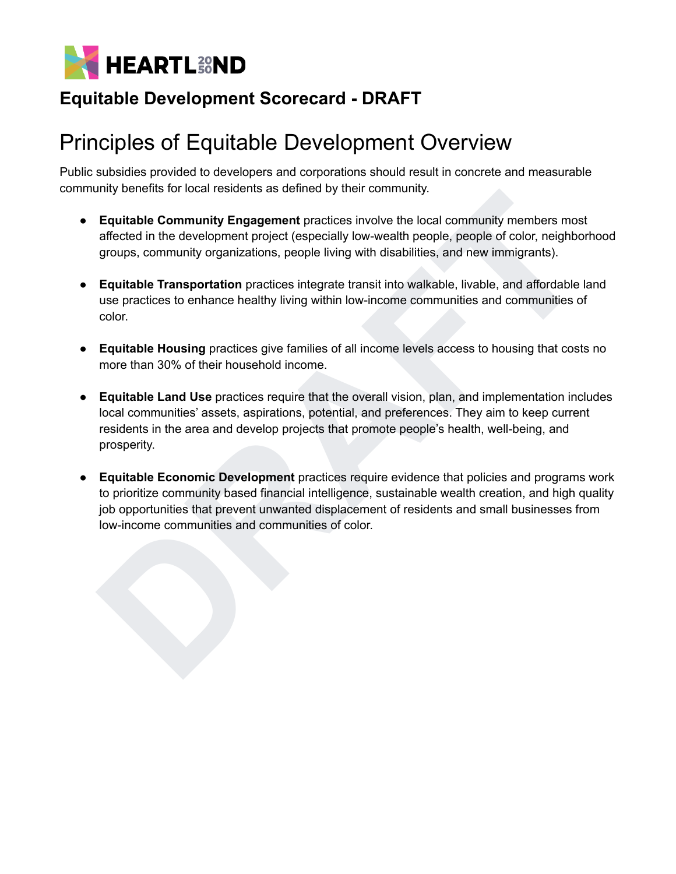

# <span id="page-2-0"></span>Principles of Equitable Development Overview

Public subsidies provided to developers and corporations should result in concrete and measurable community benefits for local residents as defined by their community.

- **● Equitable Community Engagement** practices involve the local community members most affected in the development project (especially low-wealth people, people of color, neighborhood groups, community organizations, people living with disabilities, and new immigrants).
- **Equitable Transportation** practices integrate transit into walkable, livable, and affordable land use practices to enhance healthy living within low-income communities and communities of color.
- **Equitable Housing** practices give families of all income levels access to housing that costs no more than 30% of their household income.
- **Equitable Land Use** practices require that the overall vision, plan, and implementation includes local communities' assets, aspirations, potential, and preferences. They aim to keep current residents in the area and develop projects that promote people's health, well-being, and prosperity.
- unity benefits to todal resonents as denied by their community.<br> **Equidable Community Engagement practices involve the local community members most<br>
affected in the development practices integrate provide the coole, people** ● **Equitable Economic Development** practices require evidence that policies and programs work to prioritize community based financial intelligence, sustainable wealth creation, and high quality job opportunities that prevent unwanted displacement of residents and small businesses from low-income communities and communities of color.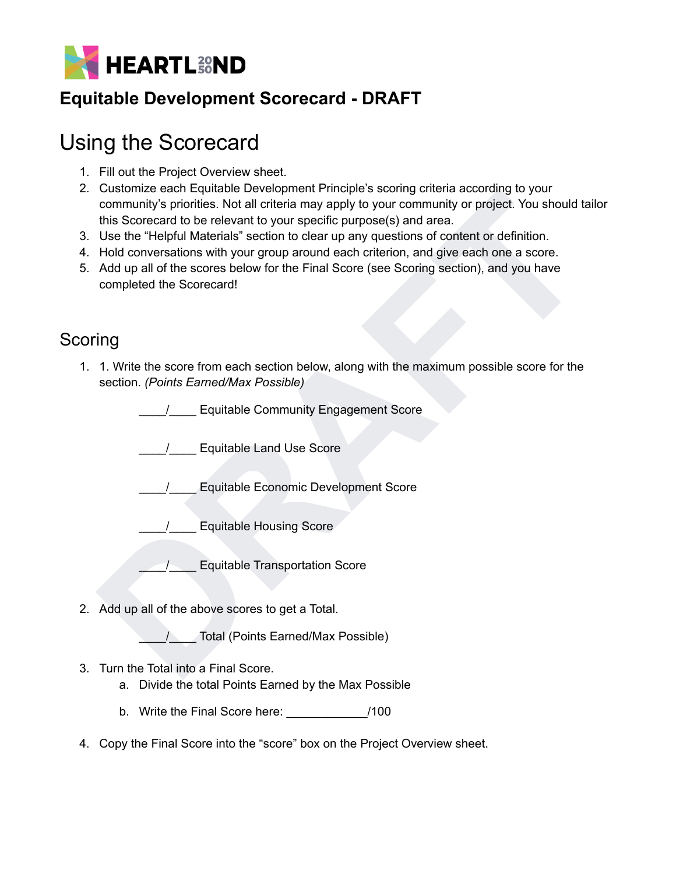

# <span id="page-3-0"></span>Using the Scorecard

- 1. Fill out the Project Overview sheet.
- Costainter earth equitable Levelaphrier Principles solong cateria accounting to your community's profits. Not all orther an ay apply to your community or project. You should tail<br>this Scorecard to be relevant to your speci 2. Customize each Equitable Development Principle's scoring criteria according to your community's priorities. Not all criteria may apply to your community or project. You should tailor this Scorecard to be relevant to your specific purpose(s) and area.
- 3. Use the "Helpful Materials" section to clear up any questions of content or definition.
- 4. Hold conversations with your group around each criterion, and give each one a score.
- 5. Add up all of the scores below for the Final Score (see Scoring section), and you have completed the Scorecard!

#### <span id="page-3-1"></span>**Scoring**

1. 1. Write the score from each section below, along with the maximum possible score for the section. *(Points Earned/Max Possible)*

\_\_\_\_/\_\_\_\_ Equitable Community Engagement Score

\_\_\_\_/\_\_\_\_ Equitable Land Use Score

\_\_\_\_/\_\_\_\_ Equitable Economic Development Score

/ Equitable Housing Score

\_\_\_\_/\_\_\_\_ Equitable Transportation Score

2. Add up all of the above scores to get a Total.

/ Total (Points Earned/Max Possible)

- 3. Turn the Total into a Final Score.
	- a. Divide the total Points Earned by the Max Possible
	- b. Write the Final Score here: \_\_\_\_\_\_\_\_\_\_\_\_/100
- 4. Copy the Final Score into the "score" box on the Project Overview sheet.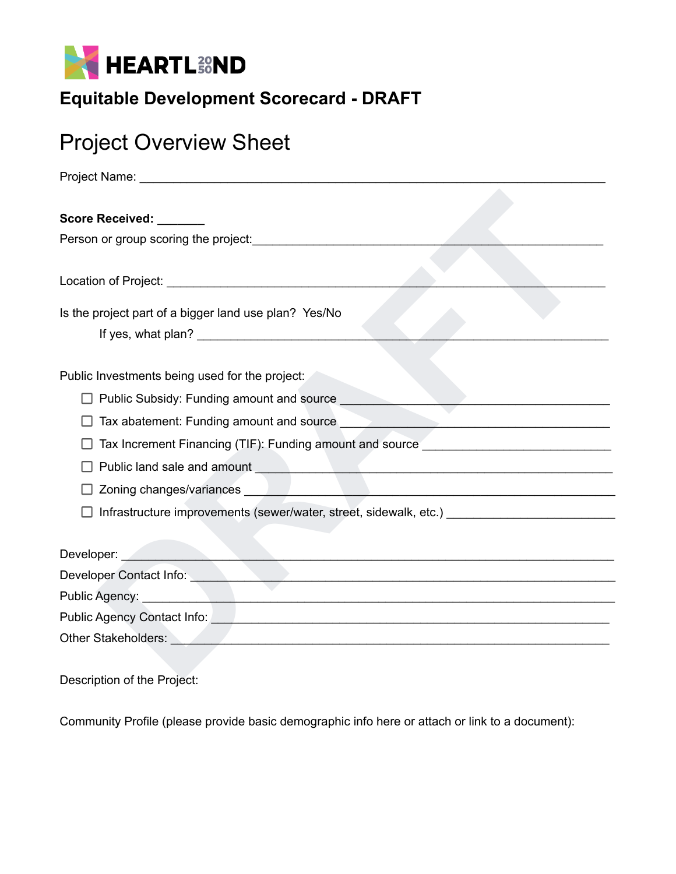

# <span id="page-4-0"></span>Project Overview Sheet

| Score Received: ______                                                                                                                                                                                                               |
|--------------------------------------------------------------------------------------------------------------------------------------------------------------------------------------------------------------------------------------|
| Person or group scoring the project:                                                                                                                                                                                                 |
|                                                                                                                                                                                                                                      |
|                                                                                                                                                                                                                                      |
| Is the project part of a bigger land use plan? Yes/No                                                                                                                                                                                |
|                                                                                                                                                                                                                                      |
|                                                                                                                                                                                                                                      |
| Public Investments being used for the project:                                                                                                                                                                                       |
| Public Subsidy: Funding amount and source                                                                                                                                                                                            |
|                                                                                                                                                                                                                                      |
|                                                                                                                                                                                                                                      |
| Tax Increment Financing (TIF): Funding amount and source <b>Commission</b> Contains a series of the series of the series of the series of the series of the series of the series of the series of the series of the series of the s  |
|                                                                                                                                                                                                                                      |
|                                                                                                                                                                                                                                      |
| Infrastructure improvements (sewer/water, street, sidewalk, etc.)                                                                                                                                                                    |
|                                                                                                                                                                                                                                      |
| Developer: with the contract of the contract of the contract of the contract of the contract of the contract of the contract of the contract of the contract of the contract of the contract of the contract of the contract o       |
| Developer Contact Info: etc. by the contract of the contract of the contract of the contract of the contract of                                                                                                                      |
| Public Agency: 2000<br><u> 1980 - Jan Barnett, fransk politik (d. 1980)</u>                                                                                                                                                          |
| Public Agency Contact Info: Note and American control of the Control of the Control of the Control of the Control of the Control of the Control of the Control of the Control of the Control of the Control of the Control of        |
| Other Stakeholders: <u>New York: William State and State and State and State and State and State and State and State and State and State and State and State and State and State and State and State and State and State and Sta</u> |
|                                                                                                                                                                                                                                      |
| Docorintian of the Draiget:                                                                                                                                                                                                          |

Description of the Project:

Community Profile (please provide basic demographic info here or attach or link to a document):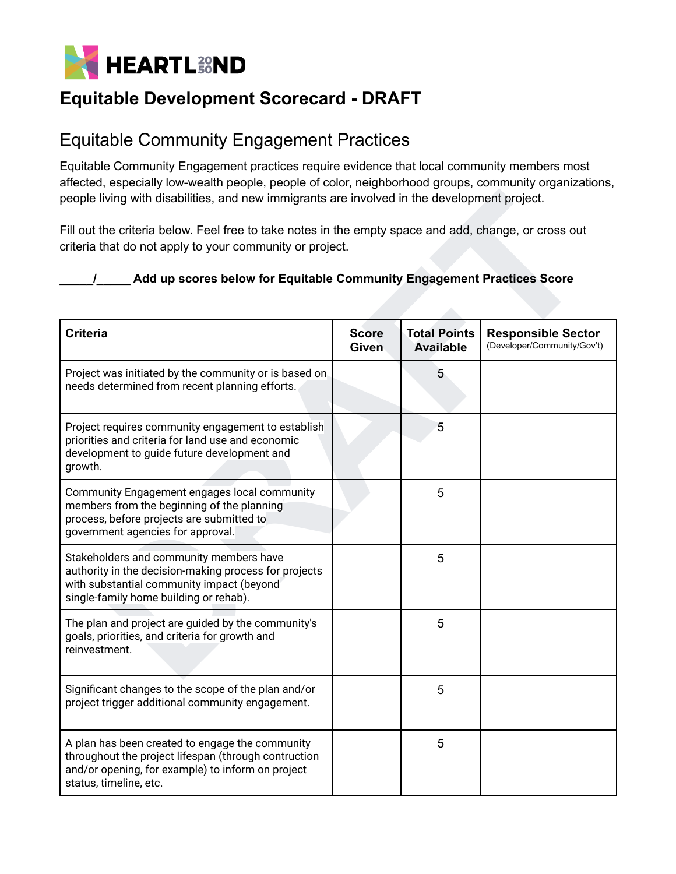

#### <span id="page-5-0"></span>Equitable Community Engagement Practices

Equitable Community Engagement practices require evidence that local community members most affected, especially low-wealth people, people of color, neighborhood groups, community organizations, people living with disabilities, and new immigrants are involved in the development project.

#### **\_\_\_\_\_/\_\_\_\_\_ Add up scores below for Equitable Community Engagement Practices Score**

| people living with disabilities, and new immigrants are involved in the development project.                                                                                                                                                |                              |                                         |                                                          |  |
|---------------------------------------------------------------------------------------------------------------------------------------------------------------------------------------------------------------------------------------------|------------------------------|-----------------------------------------|----------------------------------------------------------|--|
| Fill out the criteria below. Feel free to take notes in the empty space and add, change, or cross out<br>criteria that do not apply to your community or project.<br>Add up scores below for Equitable Community Engagement Practices Score |                              |                                         |                                                          |  |
| <b>Criteria</b>                                                                                                                                                                                                                             | <b>Score</b><br><b>Given</b> | <b>Total Points</b><br><b>Available</b> | <b>Responsible Sector</b><br>(Developer/Community/Gov't) |  |
| Project was initiated by the community or is based on<br>needs determined from recent planning efforts.                                                                                                                                     |                              | 5                                       |                                                          |  |
| Project requires community engagement to establish<br>priorities and criteria for land use and economic<br>development to guide future development and<br>growth.                                                                           |                              | 5                                       |                                                          |  |
| Community Engagement engages local community<br>members from the beginning of the planning<br>process, before projects are submitted to<br>government agencies for approval.                                                                |                              | 5                                       |                                                          |  |
| Stakeholders and community members have<br>authority in the decision-making process for projects<br>with substantial community impact (beyond<br>single-family home building or rehab).                                                     |                              | 5                                       |                                                          |  |
| The plan and project are guided by the community's<br>goals, priorities, and criteria for growth and<br>reinvestment.                                                                                                                       |                              | 5                                       |                                                          |  |
| Significant changes to the scope of the plan and/or<br>project trigger additional community engagement.                                                                                                                                     |                              | 5                                       |                                                          |  |
| A plan has been created to engage the community<br>throughout the project lifespan (through contruction<br>and/or opening, for example) to inform on project<br>status, timeline, etc.                                                      |                              | 5                                       |                                                          |  |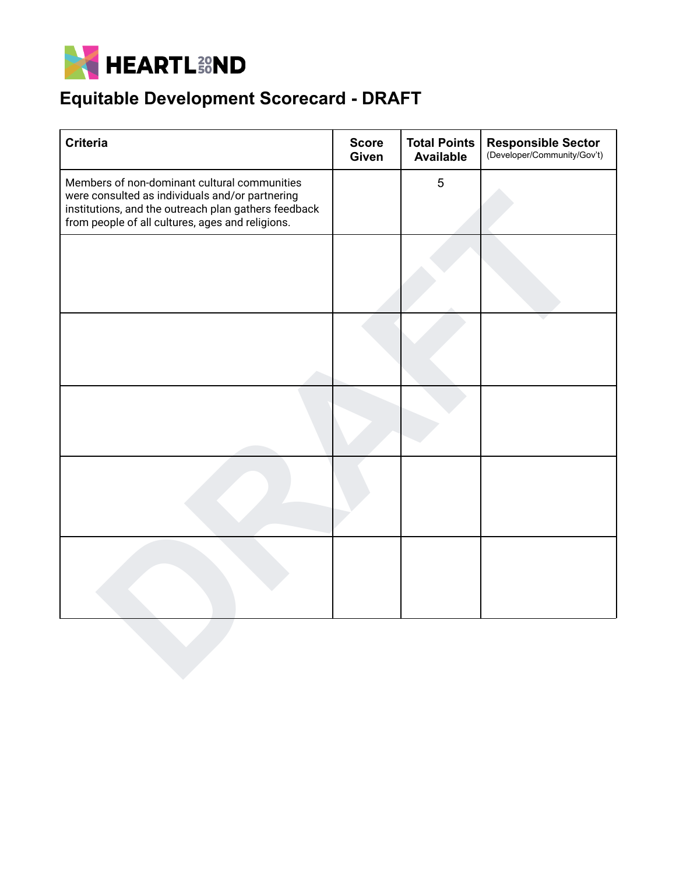

| <b>Criteria</b>                                                                                                                                                                                             | <b>Score</b><br>Given | <b>Total Points</b><br><b>Available</b> | Responsible Sector<br>(Developer/Community/Gov't) |
|-------------------------------------------------------------------------------------------------------------------------------------------------------------------------------------------------------------|-----------------------|-----------------------------------------|---------------------------------------------------|
| Members of non-dominant cultural communities<br>were consulted as individuals and/or partnering<br>institutions, and the outreach plan gathers feedback<br>from people of all cultures, ages and religions. |                       | $\sqrt{5}$                              |                                                   |
|                                                                                                                                                                                                             |                       |                                         |                                                   |
|                                                                                                                                                                                                             |                       |                                         |                                                   |
|                                                                                                                                                                                                             |                       |                                         |                                                   |
|                                                                                                                                                                                                             |                       |                                         |                                                   |
|                                                                                                                                                                                                             |                       |                                         |                                                   |
|                                                                                                                                                                                                             |                       |                                         |                                                   |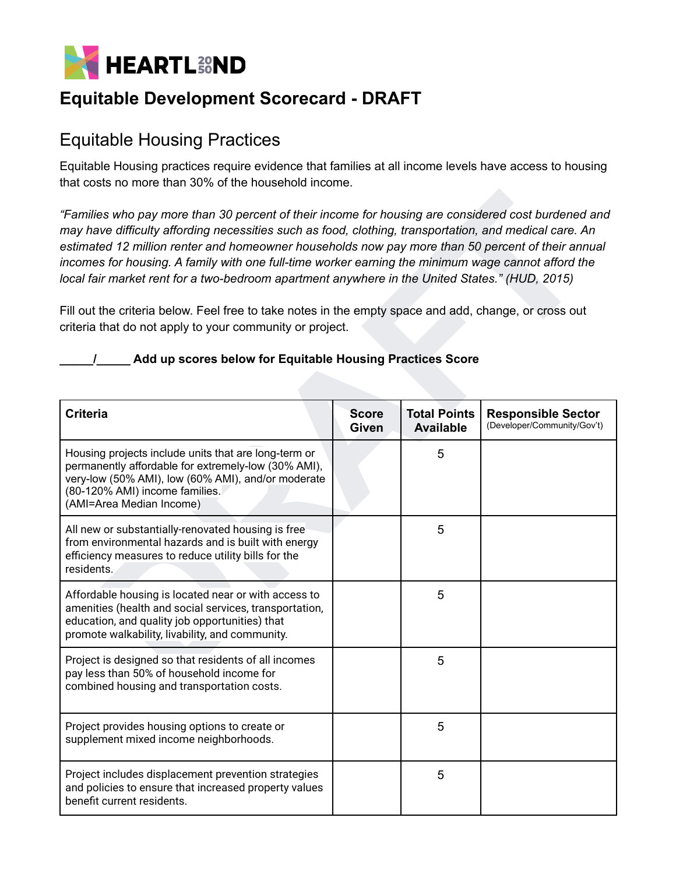

#### <span id="page-7-0"></span>Equitable Housing Practices

Equitable Housing practices require evidence that families at all income levels have access to housing that costs no more than 30% of the household income.

#### **\_\_\_\_\_/\_\_\_\_\_ Add up scores below for Equitable Housing Practices Score**

| "Families who pay more than 30 percent of their income for housing are considered cost burdened and<br>may have difficulty affording necessities such as food, clothing, transportation, and medical care. An<br>estimated 12 million renter and homeowner households now pay more than 50 percent of their annual<br>incomes for housing. A family with one full-time worker earning the minimum wage cannot afford the<br>local fair market rent for a two-bedroom apartment anywhere in the United States." (HUD, 2015)<br>Fill out the criteria below. Feel free to take notes in the empty space and add, change, or cross out<br>criteria that do not apply to your community or project.<br>Add up scores below for Equitable Housing Practices Score |                              |                                  |                                                          |  |
|--------------------------------------------------------------------------------------------------------------------------------------------------------------------------------------------------------------------------------------------------------------------------------------------------------------------------------------------------------------------------------------------------------------------------------------------------------------------------------------------------------------------------------------------------------------------------------------------------------------------------------------------------------------------------------------------------------------------------------------------------------------|------------------------------|----------------------------------|----------------------------------------------------------|--|
| <b>Criteria</b>                                                                                                                                                                                                                                                                                                                                                                                                                                                                                                                                                                                                                                                                                                                                              | <b>Score</b><br><b>Given</b> | <b>Total Points</b><br>Available | <b>Responsible Sector</b><br>(Developer/Community/Gov't) |  |
| Housing projects include units that are long-term or<br>permanently affordable for extremely-low (30% AMI),<br>very-low (50% AMI), low (60% AMI), and/or moderate<br>(80-120% AMI) income families.<br>(AMI=Area Median Income)                                                                                                                                                                                                                                                                                                                                                                                                                                                                                                                              |                              | 5                                |                                                          |  |
| All new or substantially-renovated housing is free<br>from environmental hazards and is built with energy<br>efficiency measures to reduce utility bills for the<br>residents.                                                                                                                                                                                                                                                                                                                                                                                                                                                                                                                                                                               |                              | 5                                |                                                          |  |
| Affordable housing is located near or with access to<br>amenities (health and social services, transportation,<br>education, and quality job opportunities) that<br>promote walkability, livability, and community.                                                                                                                                                                                                                                                                                                                                                                                                                                                                                                                                          |                              | 5                                |                                                          |  |
| Project is designed so that residents of all incomes<br>pay less than 50% of household income for<br>combined housing and transportation costs.                                                                                                                                                                                                                                                                                                                                                                                                                                                                                                                                                                                                              |                              | 5                                |                                                          |  |
| Project provides housing options to create or<br>supplement mixed income neighborhoods.                                                                                                                                                                                                                                                                                                                                                                                                                                                                                                                                                                                                                                                                      |                              | 5                                |                                                          |  |
| Project includes displacement prevention strategies<br>and policies to ensure that increased property values<br>benefit current residents.                                                                                                                                                                                                                                                                                                                                                                                                                                                                                                                                                                                                                   |                              | 5                                |                                                          |  |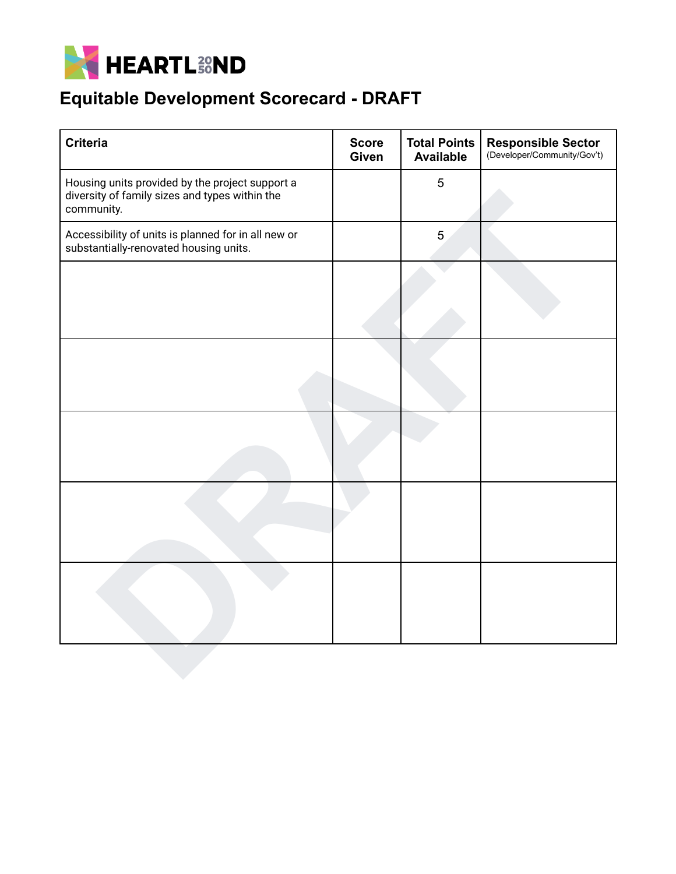

| <b>Criteria</b>                                                                                                 | <b>Score</b><br>Given | <b>Total Points</b><br><b>Available</b> | Responsible Sector<br>(Developer/Community/Gov't) |
|-----------------------------------------------------------------------------------------------------------------|-----------------------|-----------------------------------------|---------------------------------------------------|
| Housing units provided by the project support a<br>diversity of family sizes and types within the<br>community. |                       | $\sqrt{5}$                              |                                                   |
| Accessibility of units is planned for in all new or<br>substantially-renovated housing units.                   |                       | 5                                       |                                                   |
|                                                                                                                 |                       |                                         |                                                   |
|                                                                                                                 |                       |                                         |                                                   |
|                                                                                                                 |                       |                                         |                                                   |
|                                                                                                                 |                       |                                         |                                                   |
|                                                                                                                 |                       |                                         |                                                   |
|                                                                                                                 |                       |                                         |                                                   |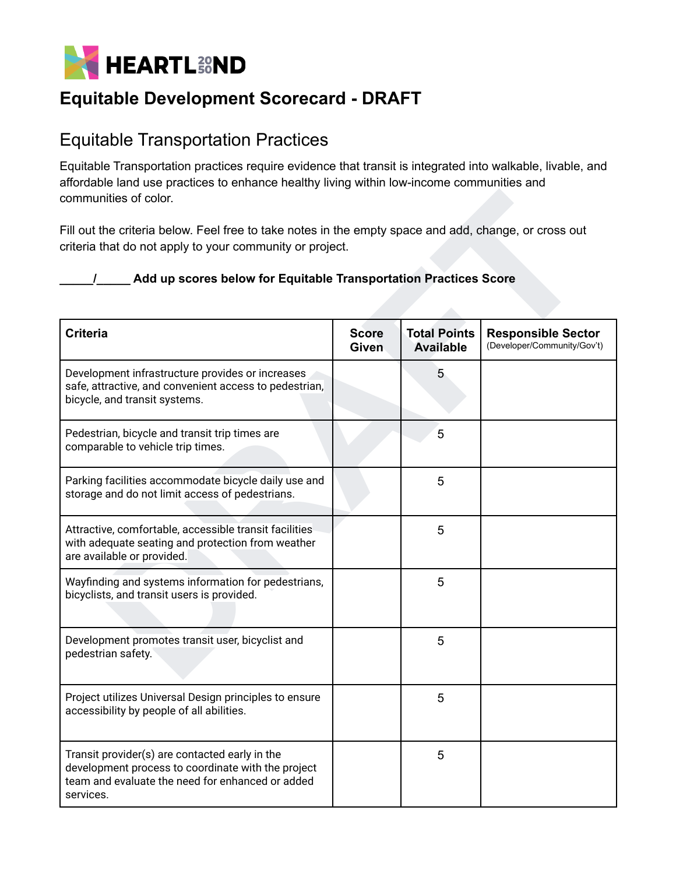

#### <span id="page-9-0"></span>Equitable Transportation Practices

Equitable Transportation practices require evidence that transit is integrated into walkable, livable, and affordable land use practices to enhance healthy living within low-income communities and communities of color.

#### **\_\_\_\_\_/\_\_\_\_\_ Add up scores below for Equitable Transportation Practices Score**

| communities of color.                                                                                                                                                                                                                 |                              |                                         |                                                          |  |
|---------------------------------------------------------------------------------------------------------------------------------------------------------------------------------------------------------------------------------------|------------------------------|-----------------------------------------|----------------------------------------------------------|--|
| Fill out the criteria below. Feel free to take notes in the empty space and add, change, or cross out<br>criteria that do not apply to your community or project.<br>Add up scores below for Equitable Transportation Practices Score |                              |                                         |                                                          |  |
| <b>Criteria</b>                                                                                                                                                                                                                       | <b>Score</b><br><b>Given</b> | <b>Total Points</b><br><b>Available</b> | <b>Responsible Sector</b><br>(Developer/Community/Gov't) |  |
| Development infrastructure provides or increases<br>safe, attractive, and convenient access to pedestrian,<br>bicycle, and transit systems.                                                                                           |                              | 5                                       |                                                          |  |
| Pedestrian, bicycle and transit trip times are<br>comparable to vehicle trip times.                                                                                                                                                   |                              | 5                                       |                                                          |  |
| Parking facilities accommodate bicycle daily use and<br>storage and do not limit access of pedestrians.                                                                                                                               |                              | 5                                       |                                                          |  |
| Attractive, comfortable, accessible transit facilities<br>with adequate seating and protection from weather<br>are available or provided.                                                                                             |                              | 5                                       |                                                          |  |
| Wayfinding and systems information for pedestrians,<br>bicyclists, and transit users is provided.                                                                                                                                     |                              | 5                                       |                                                          |  |
| Development promotes transit user, bicyclist and<br>pedestrian safety.                                                                                                                                                                |                              | 5                                       |                                                          |  |
| Project utilizes Universal Design principles to ensure<br>accessibility by people of all abilities.                                                                                                                                   |                              | 5                                       |                                                          |  |
| Transit provider(s) are contacted early in the<br>development process to coordinate with the project<br>team and evaluate the need for enhanced or added<br>services.                                                                 |                              | 5                                       |                                                          |  |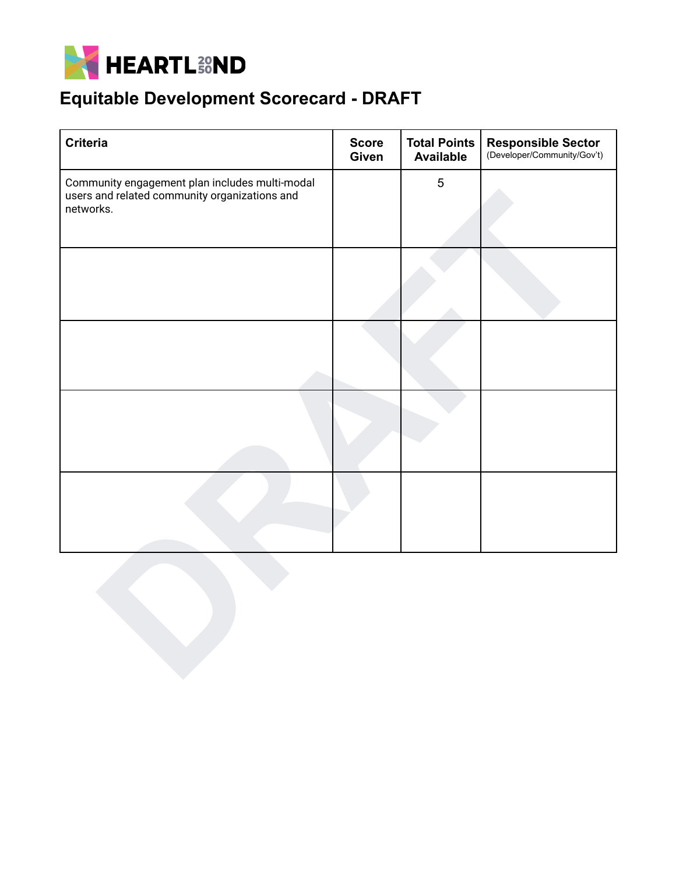

| <b>Criteria</b>                                                                                              | <b>Score</b><br>Given | <b>Total Points</b><br><b>Available</b> | Responsible Sector<br>(Developer/Community/Gov't) |
|--------------------------------------------------------------------------------------------------------------|-----------------------|-----------------------------------------|---------------------------------------------------|
| Community engagement plan includes multi-modal<br>users and related community organizations and<br>networks. |                       | $\overline{5}$                          |                                                   |
|                                                                                                              |                       |                                         |                                                   |
|                                                                                                              |                       |                                         |                                                   |
|                                                                                                              |                       |                                         |                                                   |
|                                                                                                              |                       |                                         |                                                   |
|                                                                                                              |                       |                                         |                                                   |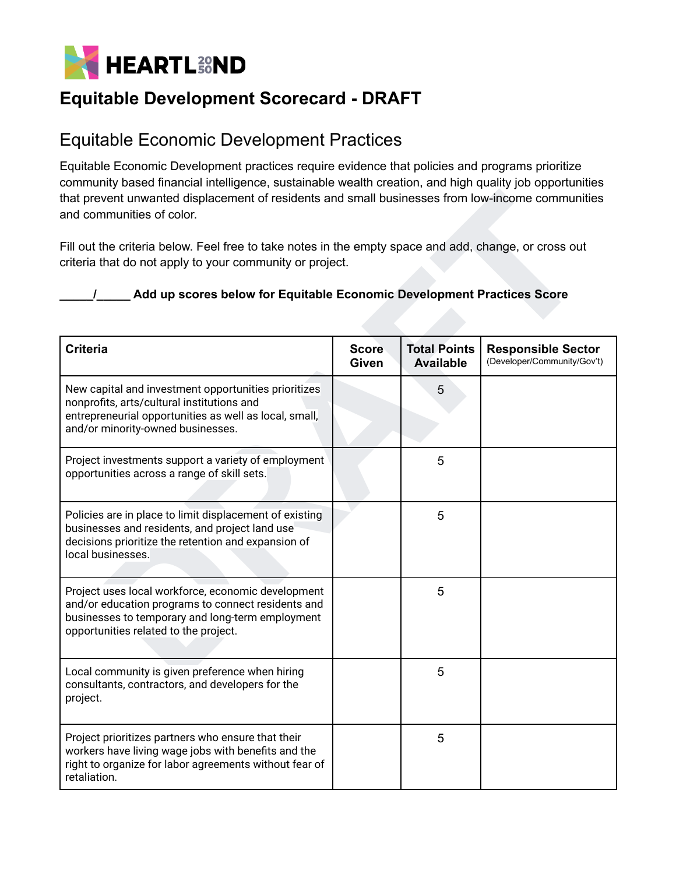

### <span id="page-11-0"></span>Equitable Economic Development Practices

Equitable Economic Development practices require evidence that policies and programs prioritize community based financial intelligence, sustainable wealth creation, and high quality job opportunities that prevent unwanted displacement of residents and small businesses from low-income communities and communities of color.

#### **\_\_\_\_\_/\_\_\_\_\_ Add up scores below for Equitable Economic Development Practices Score**

| that prevent unwanted displacement of residents and small businesses from low-income communities<br>and communities of color.                                                                         |                              |                                         |                                                          |  |
|-------------------------------------------------------------------------------------------------------------------------------------------------------------------------------------------------------|------------------------------|-----------------------------------------|----------------------------------------------------------|--|
| Fill out the criteria below. Feel free to take notes in the empty space and add, change, or cross out<br>criteria that do not apply to your community or project.                                     |                              |                                         |                                                          |  |
| Add up scores below for Equitable Economic Development Practices Score                                                                                                                                |                              |                                         |                                                          |  |
| <b>Criteria</b>                                                                                                                                                                                       | <b>Score</b><br><b>Given</b> | <b>Total Points</b><br><b>Available</b> | <b>Responsible Sector</b><br>(Developer/Community/Gov't) |  |
| New capital and investment opportunities prioritizes<br>nonprofits, arts/cultural institutions and<br>entrepreneurial opportunities as well as local, small,<br>and/or minority-owned businesses.     |                              | 5                                       |                                                          |  |
| Project investments support a variety of employment<br>opportunities across a range of skill sets.                                                                                                    |                              | 5                                       |                                                          |  |
| Policies are in place to limit displacement of existing<br>businesses and residents, and project land use<br>decisions prioritize the retention and expansion of<br>local businesses.                 |                              | 5                                       |                                                          |  |
| Project uses local workforce, economic development<br>and/or education programs to connect residents and<br>businesses to temporary and long-term employment<br>opportunities related to the project. |                              | 5                                       |                                                          |  |
| Local community is given preference when hiring<br>consultants, contractors, and developers for the<br>project.                                                                                       |                              | 5                                       |                                                          |  |
| Project prioritizes partners who ensure that their<br>workers have living wage jobs with benefits and the<br>right to organize for labor agreements without fear of<br>retaliation.                   |                              | 5                                       |                                                          |  |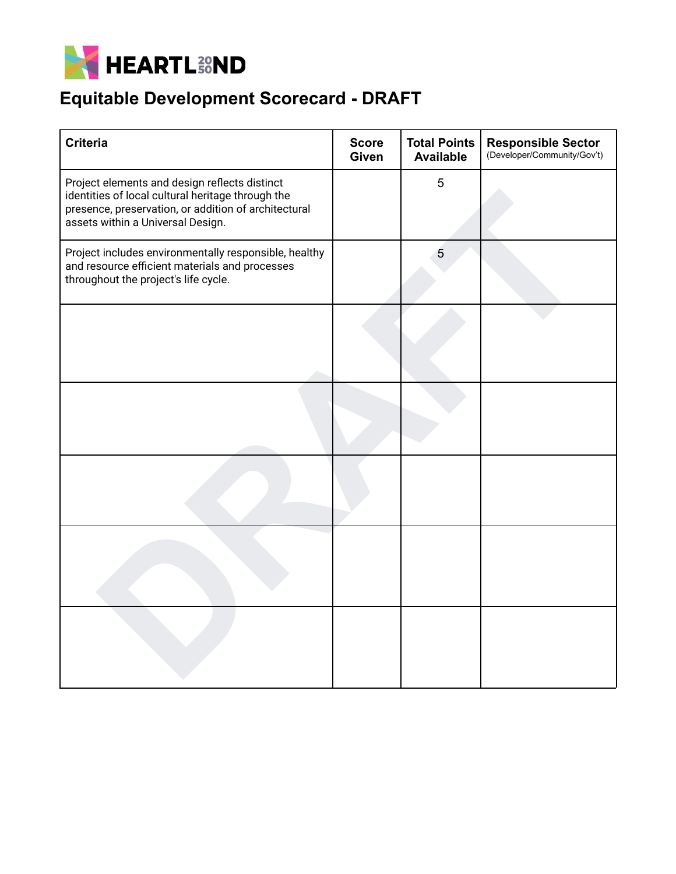

| <b>Criteria</b>                                                                                                                                                                                 | <b>Score</b><br>Given | <b>Total Points</b><br><b>Available</b> | <b>Responsible Sector</b><br>(Developer/Community/Gov't) |
|-------------------------------------------------------------------------------------------------------------------------------------------------------------------------------------------------|-----------------------|-----------------------------------------|----------------------------------------------------------|
| Project elements and design reflects distinct<br>identities of local cultural heritage through the<br>presence, preservation, or addition of architectural<br>assets within a Universal Design. |                       | 5                                       |                                                          |
| Project includes environmentally responsible, healthy<br>and resource efficient materials and processes<br>throughout the project's life cycle.                                                 |                       | 5                                       |                                                          |
|                                                                                                                                                                                                 |                       |                                         |                                                          |
|                                                                                                                                                                                                 |                       |                                         |                                                          |
|                                                                                                                                                                                                 |                       |                                         |                                                          |
|                                                                                                                                                                                                 |                       |                                         |                                                          |
|                                                                                                                                                                                                 |                       |                                         |                                                          |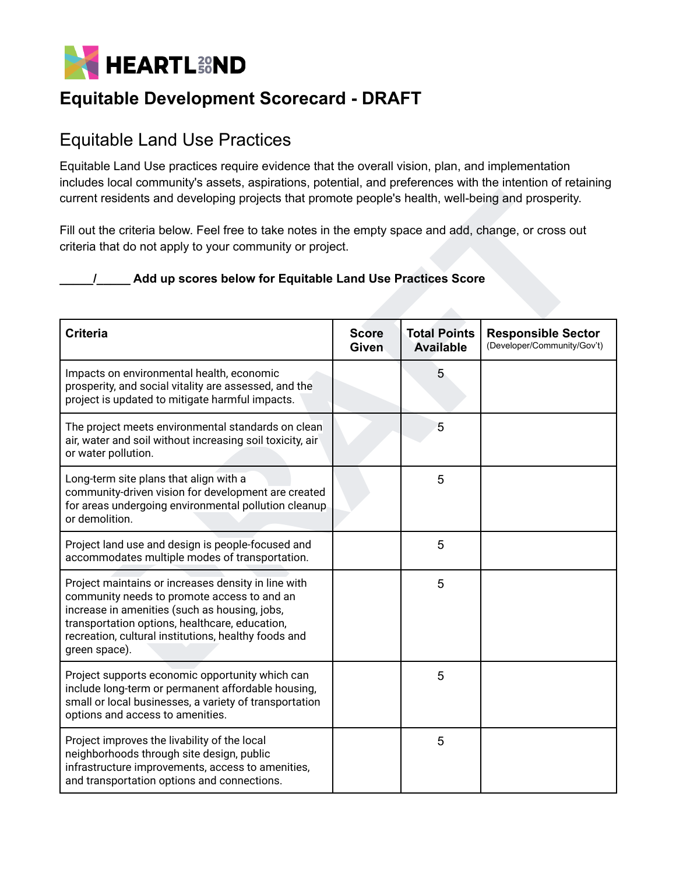

#### <span id="page-13-0"></span>Equitable Land Use Practices

Equitable Land Use practices require evidence that the overall vision, plan, and implementation includes local community's assets, aspirations, potential, and preferences with the intention of retaining current residents and developing projects that promote people's health, well-being and prosperity.

#### **\_\_\_\_\_/\_\_\_\_\_ Add up scores below for Equitable Land Use Practices Score**

| current residents and developing projects that promote people's health, well-being and prosperity.<br>Fill out the criteria below. Feel free to take notes in the empty space and add, change, or cross out                                                                    |                              |                                         |                                                          |
|--------------------------------------------------------------------------------------------------------------------------------------------------------------------------------------------------------------------------------------------------------------------------------|------------------------------|-----------------------------------------|----------------------------------------------------------|
| criteria that do not apply to your community or project.<br>Add up scores below for Equitable Land Use Practices Score                                                                                                                                                         |                              |                                         |                                                          |
| <b>Criteria</b>                                                                                                                                                                                                                                                                | <b>Score</b><br><b>Given</b> | <b>Total Points</b><br><b>Available</b> | <b>Responsible Sector</b><br>(Developer/Community/Gov't) |
| Impacts on environmental health, economic<br>prosperity, and social vitality are assessed, and the<br>project is updated to mitigate harmful impacts.                                                                                                                          |                              | 5                                       |                                                          |
| The project meets environmental standards on clean<br>air, water and soil without increasing soil toxicity, air<br>or water pollution.                                                                                                                                         |                              | 5                                       |                                                          |
| Long-term site plans that align with a<br>community-driven vision for development are created<br>for areas undergoing environmental pollution cleanup<br>or demolition.                                                                                                        |                              | 5                                       |                                                          |
| Project land use and design is people-focused and<br>accommodates multiple modes of transportation.                                                                                                                                                                            |                              | 5                                       |                                                          |
| Project maintains or increases density in line with<br>community needs to promote access to and an<br>increase in amenities (such as housing, jobs,<br>transportation options, healthcare, education,<br>recreation, cultural institutions, healthy foods and<br>green space). |                              | 5                                       |                                                          |
| Project supports economic opportunity which can<br>include long-term or permanent affordable housing,<br>small or local businesses, a variety of transportation<br>options and access to amenities.                                                                            |                              | 5                                       |                                                          |
| Project improves the livability of the local<br>neighborhoods through site design, public<br>infrastructure improvements, access to amenities,<br>and transportation options and connections.                                                                                  |                              | 5                                       |                                                          |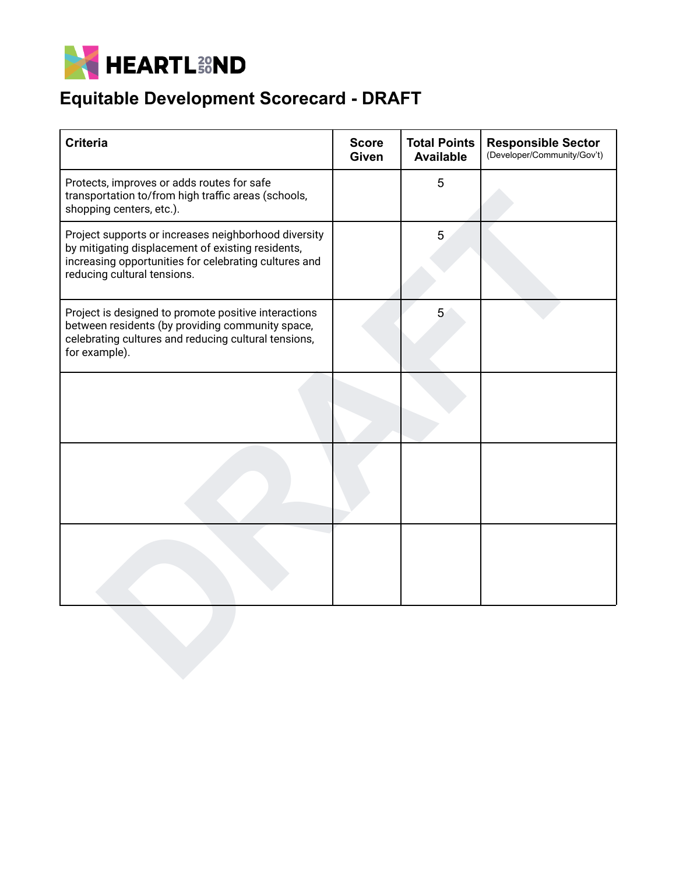

| <b>Criteria</b>                                                                                                                                                                                   | <b>Score</b><br><b>Given</b> | <b>Total Points</b><br><b>Available</b> | <b>Responsible Sector</b><br>(Developer/Community/Gov't) |
|---------------------------------------------------------------------------------------------------------------------------------------------------------------------------------------------------|------------------------------|-----------------------------------------|----------------------------------------------------------|
| Protects, improves or adds routes for safe<br>transportation to/from high traffic areas (schools,<br>shopping centers, etc.).                                                                     |                              | 5                                       |                                                          |
| Project supports or increases neighborhood diversity<br>by mitigating displacement of existing residents,<br>increasing opportunities for celebrating cultures and<br>reducing cultural tensions. |                              | 5                                       |                                                          |
| Project is designed to promote positive interactions<br>between residents (by providing community space,<br>celebrating cultures and reducing cultural tensions,<br>for example).                 |                              | 5                                       |                                                          |
|                                                                                                                                                                                                   |                              |                                         |                                                          |
|                                                                                                                                                                                                   |                              |                                         |                                                          |
|                                                                                                                                                                                                   |                              |                                         |                                                          |
|                                                                                                                                                                                                   |                              |                                         |                                                          |
|                                                                                                                                                                                                   |                              |                                         |                                                          |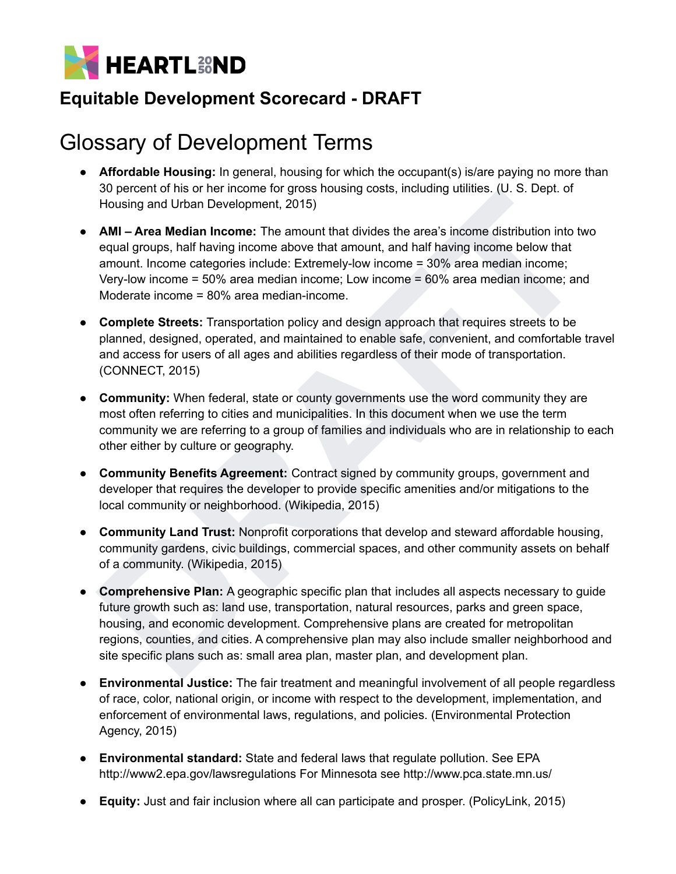

# <span id="page-15-0"></span>Glossary of Development Terms

- **Affordable Housing:** In general, housing for which the occupant(s) is/are paying no more than 30 percent of his or her income for gross housing costs, including utilities. (U. S. Dept. of Housing and Urban Development, 2015)
- **AMI – Area Median Income:** The amount that divides the area's income distribution into two equal groups, half having income above that amount, and half having income below that amount. Income categories include: Extremely-low income = 30% area median income; Very-low income = 50% area median income; Low income = 60% area median income; and Moderate income = 80% area median-income.
- **Complete Streets:** Transportation policy and design approach that requires streets to be planned, designed, operated, and maintained to enable safe, convenient, and comfortable travel and access for users of all ages and abilities regardless of their mode of transportation. (CONNECT, 2015)
- **Community:** When federal, state or county governments use the word community they are most often referring to cities and municipalities. In this document when we use the term community we are referring to a group of families and individuals who are in relationship to each other either by culture or geography.
- **Community Benefits Agreement:** Contract signed by community groups, government and developer that requires the developer to provide specific amenities and/or mitigations to the local community or neighborhood. (Wikipedia, 2015)
- **Community Land Trust:** Nonprofit corporations that develop and steward affordable housing, community gardens, civic buildings, commercial spaces, and other community assets on behalf of a community. (Wikipedia, 2015)
- So percent of many of metaorite many that dividuals who are readed for matterial and geology and Urban Development, 2015)<br> **AMI Area Median Income:** The amount that divides the area's income distribution into two<br>
equal ● **Comprehensive Plan:** A geographic specific plan that includes all aspects necessary to guide future growth such as: land use, transportation, natural resources, parks and green space, housing, and economic development. Comprehensive plans are created for metropolitan regions, counties, and cities. A comprehensive plan may also include smaller neighborhood and site specific plans such as: small area plan, master plan, and development plan.
- **Environmental Justice:** The fair treatment and meaningful involvement of all people regardless of race, color, national origin, or income with respect to the development, implementation, and enforcement of environmental laws, regulations, and policies. (Environmental Protection Agency, 2015)
- **Environmental standard:** State and federal laws that regulate pollution. See EPA http://www2.epa.gov/lawsregulations For Minnesota see http://www.pca.state.mn.us/
- **Equity:** Just and fair inclusion where all can participate and prosper. (PolicyLink, 2015)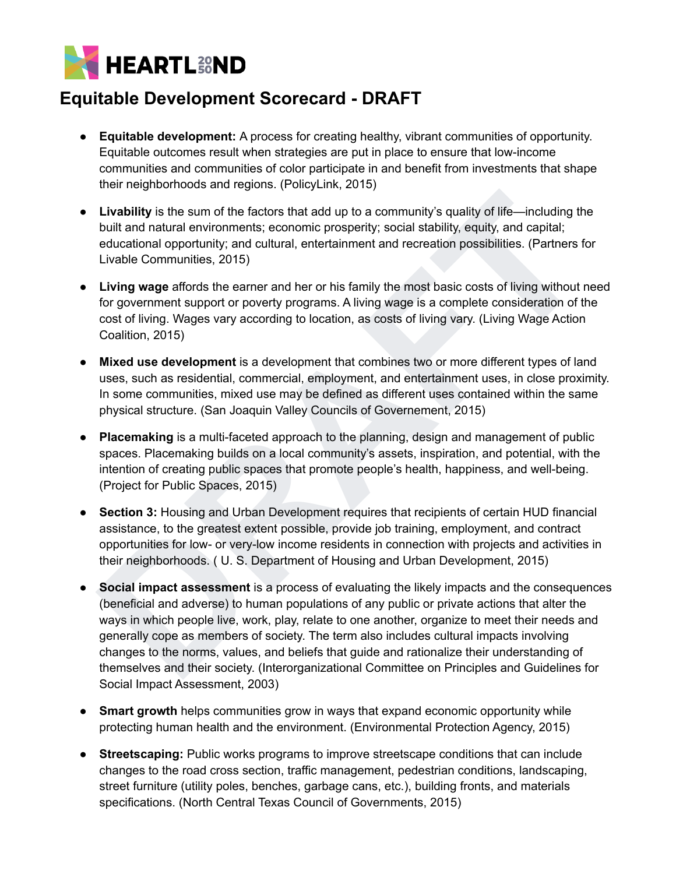

- **Equitable development:** A process for creating healthy, vibrant communities of opportunity. Equitable outcomes result when strategies are put in place to ensure that low-income communities and communities of color participate in and benefit from investments that shape their neighborhoods and regions. (PolicyLink, 2015)
- **Livability** is the sum of the factors that add up to a community's quality of life—including the built and natural environments; economic prosperity; social stability, equity, and capital; educational opportunity; and cultural, entertainment and recreation possibilities. (Partners for Livable Communities, 2015)
- **Living wage** affords the earner and her or his family the most basic costs of living without need for government support or poverty programs. A living wage is a complete consideration of the cost of living. Wages vary according to location, as costs of living vary. (Living Wage Action Coalition, 2015)
- **Mixed use development** is a development that combines two or more different types of land uses, such as residential, commercial, employment, and entertainment uses, in close proximity. In some communities, mixed use may be defined as different uses contained within the same physical structure. (San Joaquin Valley Councils of Governement, 2015)
- **Placemaking** is a multi-faceted approach to the planning, design and management of public spaces. Placemaking builds on a local community's assets, inspiration, and potential, with the intention of creating public spaces that promote people's health, happiness, and well-being. (Project for Public Spaces, 2015)
- **Section 3:** Housing and Urban Development requires that recipients of certain HUD financial assistance, to the greatest extent possible, provide job training, employment, and contract opportunities for low- or very-low income residents in connection with projects and activities in their neighborhoods. ( U. S. Department of Housing and Urban Development, 2015)
- **Elvability** is the sum of the factors that add up to a community's quality of life-including the<br>built and natural environments; economic prosperity; social stability, equity, and capital;<br>built and natural environments; ● **Social impact assessment** is a process of evaluating the likely impacts and the consequences (beneficial and adverse) to human populations of any public or private actions that alter the ways in which people live, work, play, relate to one another, organize to meet their needs and generally cope as members of society. The term also includes cultural impacts involving changes to the norms, values, and beliefs that guide and rationalize their understanding of themselves and their society. (Interorganizational Committee on Principles and Guidelines for Social Impact Assessment, 2003)
- **Smart growth** helps communities grow in ways that expand economic opportunity while protecting human health and the environment. (Environmental Protection Agency, 2015)
- **Streetscaping:** Public works programs to improve streetscape conditions that can include changes to the road cross section, traffic management, pedestrian conditions, landscaping, street furniture (utility poles, benches, garbage cans, etc.), building fronts, and materials specifications. (North Central Texas Council of Governments, 2015)